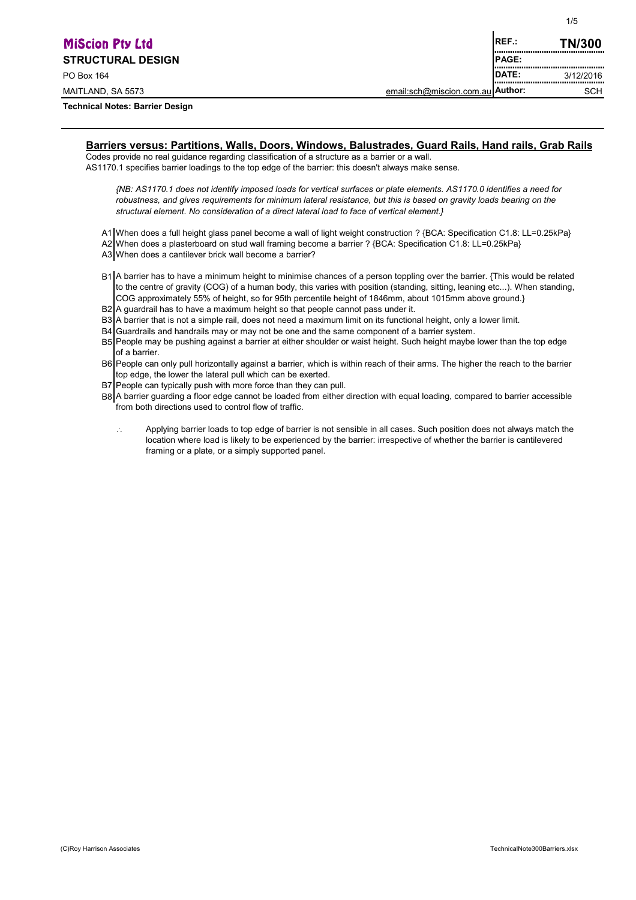| <b>MiScion Pty Ltd</b>                 |                                  | IREF.:                                     | <b>TN/300</b> |
|----------------------------------------|----------------------------------|--------------------------------------------|---------------|
| <b>STRUCTURAL DESIGN</b>               |                                  | ,,,,,,,,,,,,,,,,,,,,,,,,,<br><b>IPAGE:</b> | <br>          |
| PO Box 164                             |                                  | <b>IDATE:</b><br>                          | 3/12/2016<br> |
| MAITLAND, SA 5573                      | email:sch@miscion.com.au Author: |                                            | <b>SCH</b>    |
| <b>Technical Notes: Barrier Design</b> |                                  |                                            |               |

# **Barriers versus: Partitions, Walls, Doors, Windows, Balustrades, Guard Rails, Hand rails, Grab Rails**

Codes provide no real guidance regarding classification of a structure as a barrier or a wall. AS1170.1 specifies barrier loadings to the top edge of the barrier: this doesn't always make sense.

*{NB: AS1170.1 does not identify imposed loads for vertical surfaces or plate elements. AS1170.0 identifies a need for robustness, and gives requirements for minimum lateral resistance, but this is based on gravity loads bearing on the structural element. No consideration of a direct lateral load to face of vertical element.}*

A1 When does a full height glass panel become a wall of light weight construction ? {BCA: Specification C1.8: LL=0.25kPa} A2 When does a plasterboard on stud wall framing become a barrier ? {BCA: Specification C1.8: LL=0.25kPa}

A3 When does a cantilever brick wall become a barrier?

- B1 A barrier has to have a minimum height to minimise chances of a person toppling over the barrier. {This would be related to the centre of gravity (COG) of a human body, this varies with position (standing, sitting, leaning etc...). When standing, COG approximately 55% of height, so for 95th percentile height of 1846mm, about 1015mm above ground.}
- B<sub>2</sub> A guardrail has to have a maximum height so that people cannot pass under it.
- B3 A barrier that is not a simple rail, does not need a maximum limit on its functional height, only a lower limit.
- B4 Guardrails and handrails may or may not be one and the same component of a barrier system.
- B5 People may be pushing against a barrier at either shoulder or waist height. Such height maybe lower than the top edge of a barrier.
- B6 People can only pull horizontally against a barrier, which is within reach of their arms. The higher the reach to the barrier top edge, the lower the lateral pull which can be exerted.
- B7 People can typically push with more force than they can pull.
- B8 A barrier guarding a floor edge cannot be loaded from either direction with equal loading, compared to barrier accessible from both directions used to control flow of traffic.
	- $\ddot{\cdot}$ Applying barrier loads to top edge of barrier is not sensible in all cases. Such position does not always match the location where load is likely to be experienced by the barrier: irrespective of whether the barrier is cantilevered framing or a plate, or a simply supported panel.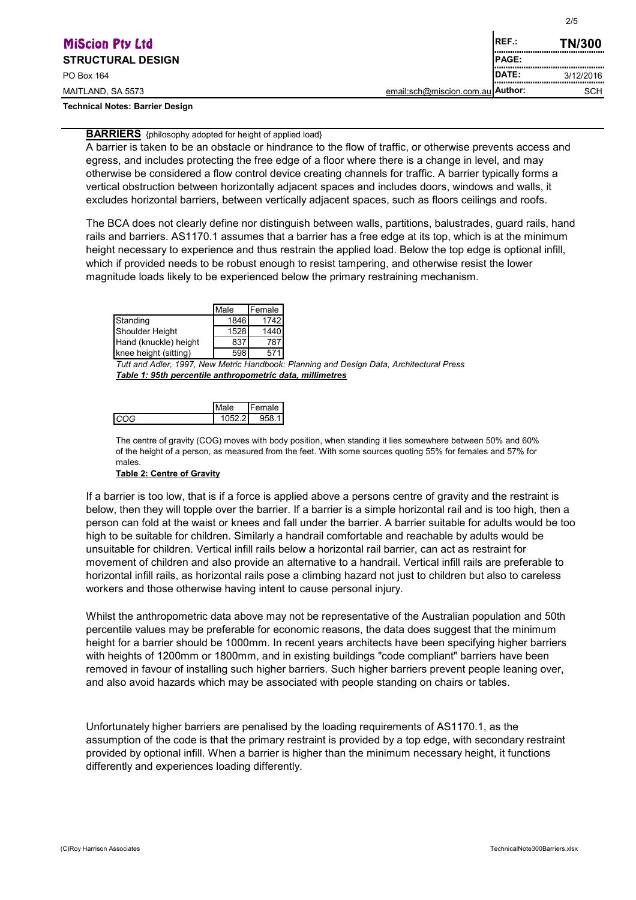| <b>MiScion Pty Ltd</b>                 | IREF.:                           | <b>TN/300</b>                                      |               |
|----------------------------------------|----------------------------------|----------------------------------------------------|---------------|
| <b>STRUCTURAL DESIGN</b>               |                                  | <b>IPAGE:</b><br>,,,,,,,,,,,,,,,,,,,,,,,,,,,,,,,,, |               |
| PO Box 164                             |                                  | <b>IDATE:</b><br>,,,,,,,,,,,,,,,,,,,,,,,,,,,,,,,,  | 3/12/2016<br> |
| MAITLAND, SA 5573                      | email:sch@miscion.com.au Author: |                                                    | <b>SCH</b>    |
| <b>Technical Notes: Barrier Design</b> |                                  |                                                    |               |

**BARRIERS** {philosophy adopted for height of applied load}

A barrier is taken to be an obstacle or hindrance to the flow of traffic, or otherwise prevents access and egress, and includes protecting the free edge of a floor where there is a change in level, and may otherwise be considered a flow control device creating channels for traffic. A barrier typically forms a vertical obstruction between horizontally adjacent spaces and includes doors, windows and walls, it excludes horizontal barriers, between vertically adjacent spaces, such as floors ceilings and roofs.

The BCA does not clearly define nor distinguish between walls, partitions, balustrades, guard rails, hand rails and barriers. AS1170.1 assumes that a barrier has a free edge at its top, which is at the minimum height necessary to experience and thus restrain the applied load. Below the top edge is optional infill, which if provided needs to be robust enough to resist tampering, and otherwise resist the lower magnitude loads likely to be experienced below the primary restraining mechanism.

|                       | Male | Female |
|-----------------------|------|--------|
| Standing              | 1846 | 1742   |
| Shoulder Height       | 1528 | 1440   |
| Hand (knuckle) height | 837  | 787    |
| knee height (sitting) | 598  | 57'    |

*Tutt and Adler, 1997, New Metric Handbook: Planning and Design Data, Architectural Press Table 1: 95th percentile anthropometric data, millimetres*

| ale i  | Female |
|--------|--------|
| 052.21 | uhx    |

The centre of gravity (COG) moves with body position, when standing it lies somewhere between 50% and 60% of the height of a person, as measured from the feet. With some sources quoting 55% for females and 57% for males.

#### **Table 2: Centre of Gravity**

If a barrier is too low, that is if a force is applied above a persons centre of gravity and the restraint is below, then they will topple over the barrier. If a barrier is a simple horizontal rail and is too high, then a person can fold at the waist or knees and fall under the barrier. A barrier suitable for adults would be too high to be suitable for children. Similarly a handrail comfortable and reachable by adults would be unsuitable for children. Vertical infill rails below a horizontal rail barrier, can act as restraint for movement of children and also provide an alternative to a handrail. Vertical infill rails are preferable to horizontal infill rails, as horizontal rails pose a climbing hazard not just to children but also to careless workers and those otherwise having intent to cause personal injury.

Whilst the anthropometric data above may not be representative of the Australian population and 50th percentile values may be preferable for economic reasons, the data does suggest that the minimum height for a barrier should be 1000mm. In recent years architects have been specifying higher barriers with heights of 1200mm or 1800mm, and in existing buildings "code compliant" barriers have been removed in favour of installing such higher barriers. Such higher barriers prevent people leaning over, and also avoid hazards which may be associated with people standing on chairs or tables.

Unfortunately higher barriers are penalised by the loading requirements of AS1170.1, as the assumption of the code is that the primary restraint is provided by a top edge, with secondary restraint provided by optional infill. When a barrier is higher than the minimum necessary height, it functions differently and experiences loading differently.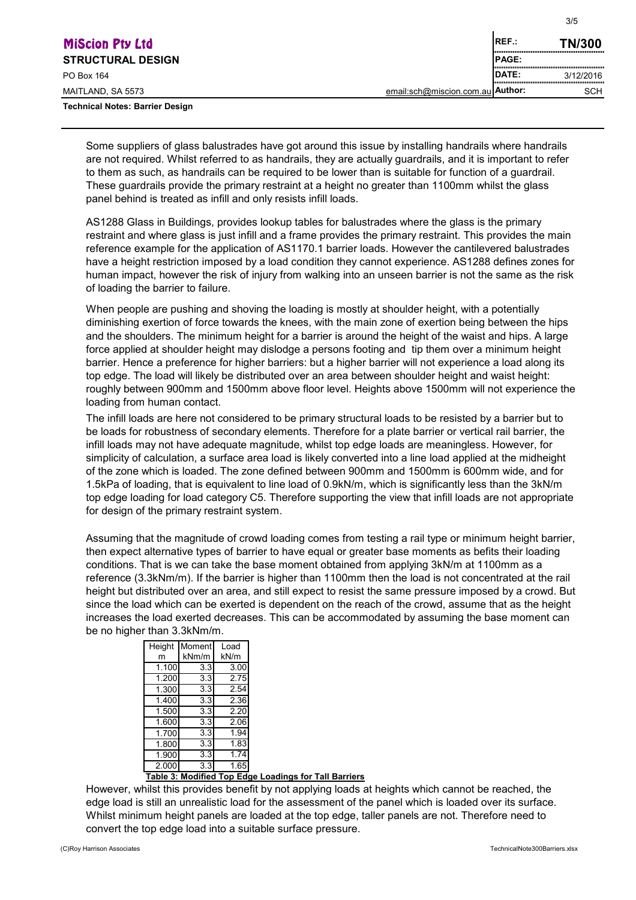| <b>MiScion Pty Ltd</b>                 |                                  | <b>REF.:</b> | <b>TN/300</b>                      |
|----------------------------------------|----------------------------------|--------------|------------------------------------|
| <b>STRUCTURAL DESIGN</b>               |                                  | <b>PAGE:</b> | ,,,,,,,,,,,,,,,,,,,,,,,,,,,,,,,,,, |
| PO Box 164                             |                                  | <b>DATE:</b> | 3/12/2016                          |
| MAITLAND, SA 5573                      | email:sch@miscion.com.au Author: |              | <b>SCH</b>                         |
| <b>Technical Notes: Barrier Design</b> |                                  |              |                                    |

Some suppliers of glass balustrades have got around this issue by installing handrails where handrails are not required. Whilst referred to as handrails, they are actually guardrails, and it is important to refer to them as such, as handrails can be required to be lower than is suitable for function of a guardrail. These guardrails provide the primary restraint at a height no greater than 1100mm whilst the glass panel behind is treated as infill and only resists infill loads.

AS1288 Glass in Buildings, provides lookup tables for balustrades where the glass is the primary restraint and where glass is just infill and a frame provides the primary restraint. This provides the main reference example for the application of AS1170.1 barrier loads. However the cantilevered balustrades have a height restriction imposed by a load condition they cannot experience. AS1288 defines zones for human impact, however the risk of injury from walking into an unseen barrier is not the same as the risk of loading the barrier to failure.

When people are pushing and shoving the loading is mostly at shoulder height, with a potentially diminishing exertion of force towards the knees, with the main zone of exertion being between the hips and the shoulders. The minimum height for a barrier is around the height of the waist and hips. A large force applied at shoulder height may dislodge a persons footing and tip them over a minimum height barrier. Hence a preference for higher barriers: but a higher barrier will not experience a load along its top edge. The load will likely be distributed over an area between shoulder height and waist height: roughly between 900mm and 1500mm above floor level. Heights above 1500mm will not experience the loading from human contact.

The infill loads are here not considered to be primary structural loads to be resisted by a barrier but to be loads for robustness of secondary elements. Therefore for a plate barrier or vertical rail barrier, the infill loads may not have adequate magnitude, whilst top edge loads are meaningless. However, for simplicity of calculation, a surface area load is likely converted into a line load applied at the midheight of the zone which is loaded. The zone defined between 900mm and 1500mm is 600mm wide, and for 1.5kPa of loading, that is equivalent to line load of 0.9kN/m, which is significantly less than the 3kN/m top edge loading for load category C5. Therefore supporting the view that infill loads are not appropriate for design of the primary restraint system.

Assuming that the magnitude of crowd loading comes from testing a rail type or minimum height barrier, then expect alternative types of barrier to have equal or greater base moments as befits their loading conditions. That is we can take the base moment obtained from applying 3kN/m at 1100mm as a reference (3.3kNm/m). If the barrier is higher than 1100mm then the load is not concentrated at the rail height but distributed over an area, and still expect to resist the same pressure imposed by a crowd. But since the load which can be exerted is dependent on the reach of the crowd, assume that as the height increases the load exerted decreases. This can be accommodated by assuming the base moment can be no higher than 3.3kNm/m.

| Height | Moment | Load |
|--------|--------|------|
| m      | kNm/m  | kN/m |
| 1.100  | 3.3    | 3.00 |
| 1.200  | 3.3    | 2.75 |
| 1.300  | 3.3    | 2.54 |
| 1.400  | 3.3    | 2.36 |
| 1.500  | 3.3    | 2.20 |
| 1.600  | 3.3    | 2.06 |
| 1.700  | 3.3    | 1.94 |
| 1.800  | 3.3    | 1.83 |
| 1.900  | 3.3    | 1.74 |
| 2.000  | 3.3    | 1.65 |
| Tabla  |        |      |

#### **Table 3: Modified Top Edge Loadings for Tall Barriers**

However, whilst this provides benefit by not applying loads at heights which cannot be reached, the edge load is still an unrealistic load for the assessment of the panel which is loaded over its surface. Whilst minimum height panels are loaded at the top edge, taller panels are not. Therefore need to convert the top edge load into a suitable surface pressure.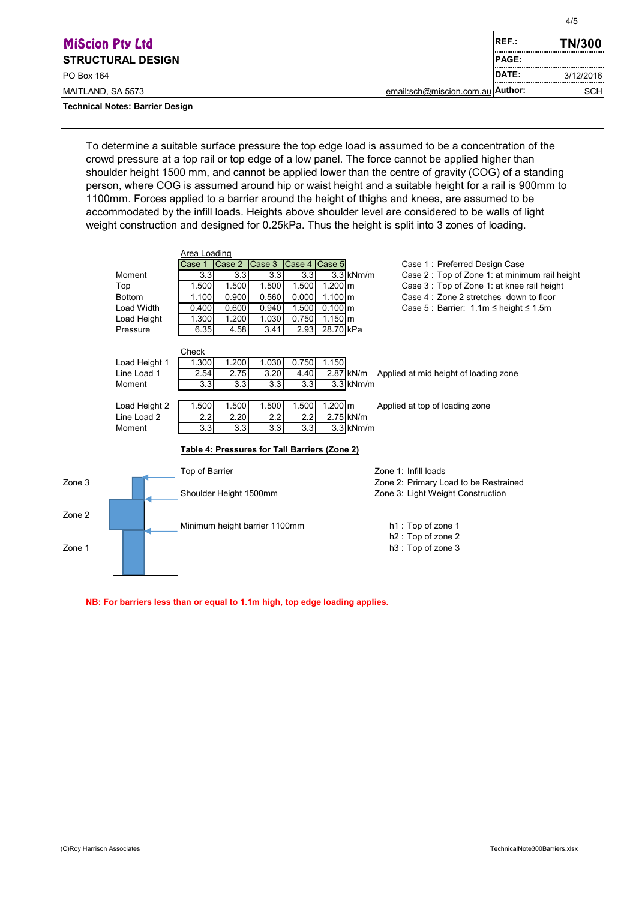| <b>MiScion Pty Ltd</b>                 |                                  | IREF.:        | <b>TN/300</b> |
|----------------------------------------|----------------------------------|---------------|---------------|
| <b>STRUCTURAL DESIGN</b>               |                                  | <b>IPAGE:</b> |               |
| PO Box 164                             |                                  | <b>IDATE:</b> | 3/12/2016<br> |
| MAITLAND, SA 5573                      | email:sch@miscion.com.au Author: |               | <b>SCH</b>    |
| <b>Technical Notes: Barrier Design</b> |                                  |               |               |

To determine a suitable surface pressure the top edge load is assumed to be a concentration of the crowd pressure at a top rail or top edge of a low panel. The force cannot be applied higher than shoulder height 1500 mm, and cannot be applied lower than the centre of gravity (COG) of a standing person, where COG is assumed around hip or waist height and a suitable height for a rail is 900mm to 1100mm. Forces applied to a barrier around the height of thighs and knees, are assumed to be accommodated by the infill loads. Heights above shoulder level are considered to be walls of light weight construction and designed for 0.25kPa. Thus the height is split into 3 zones of loading.

|        |                   | Area Loading                  |        |                  |               |                                               |                                                 |
|--------|-------------------|-------------------------------|--------|------------------|---------------|-----------------------------------------------|-------------------------------------------------|
|        |                   | Case 1                        | Case 2 | Case 3           | Case 4 Case 5 |                                               | Case 1: Preferred Design Case                   |
|        | Moment            | 3.3                           | 3.3    | 3.3              | 3.3           | $3.3$ kNm/m                                   | Case 2: Top of Zone 1: at minimum rail height   |
|        | Top               | 1.500                         | 1.500  | 1.500            | 1.500         | 1.200 m                                       | Case 3: Top of Zone 1: at knee rail height      |
|        | <b>Bottom</b>     | 1.100                         | 0.900  | 0.560            | 0.000         | $1.100 \, \text{m}$                           | Case 4: Zone 2 stretches down to floor          |
|        | <b>Load Width</b> | 0.400                         | 0.600  | 0.940            | 1.500         | $0.100 \, \text{m}$                           | Case 5 : Barrier: $1.1m \le$ height $\le$ 1.5m  |
|        | Load Height       | 1.300                         | 1.200  | 1.030            | 0.750         | $1.150 \, \text{m}$                           |                                                 |
|        | Pressure          | 6.35                          | 4.58   | 3.41             | 2.93          | 28.70 kPa                                     |                                                 |
|        |                   | Check                         |        |                  |               |                                               |                                                 |
|        | Load Height 1     | 1.300                         | 1.200  | 1.030            | 0.750         | 1.150                                         |                                                 |
|        | Line Load 1       | 2.54                          | 2.75   | 3.20             | 4.40          |                                               | 2.87 kN/m Applied at mid height of loading zone |
|        | Moment            | 3.3                           | 3.3    | 3.3 <sub>l</sub> | 3.3           | $3.3$ kNm/m                                   |                                                 |
|        | Load Height 2     | 1.500                         | 1.500  | 1.500            | 1.500         | $1.200$ m                                     | Applied at top of loading zone                  |
|        | Line Load 2       | 2.2                           | 2.20   | 2.2              | 2.2           | 2.75 kN/m                                     |                                                 |
|        | Moment            | 3.3 <sub>l</sub>              | 3.3    | 3.3              | 3.3           | $3.3$ kNm/m                                   |                                                 |
|        |                   |                               |        |                  |               | Table 4: Pressures for Tall Barriers (Zone 2) |                                                 |
|        |                   | Top of Barrier                |        |                  |               |                                               | Zone 1: Infill loads                            |
| Zone 3 |                   |                               |        |                  |               |                                               | Zone 2: Primary Load to be Restrained           |
|        |                   | Shoulder Height 1500mm        |        |                  |               |                                               | Zone 3: Light Weight Construction               |
| Zone 2 |                   |                               |        |                  |               |                                               |                                                 |
|        |                   | Minimum height barrier 1100mm |        |                  |               |                                               | h1: Top of zone 1                               |
|        |                   |                               |        |                  |               |                                               | h <sub>2</sub> : Top of zone 2                  |
| Zone 1 |                   |                               |        |                  |               |                                               | h3: Top of zone 3                               |
|        |                   |                               |        |                  |               |                                               |                                                 |

**NB: For barriers less than or equal to 1.1m high, top edge loading applies.**

4/5